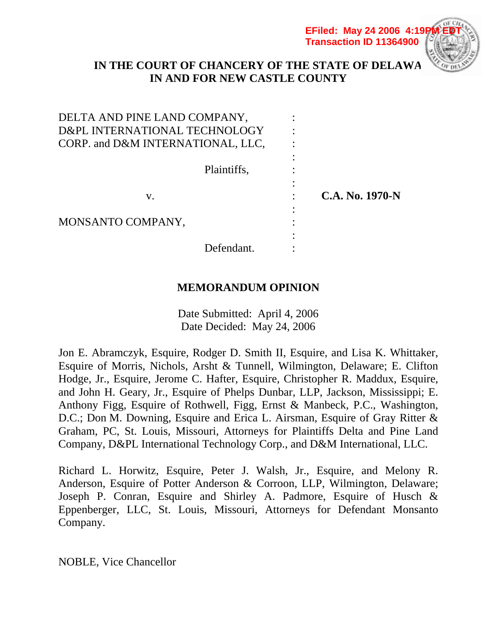**EFiled: May 24 2006 4:19P Transaction ID 11364900**



# **IN THE COURT OF CHANCERY OF THE STATE OF DELAWA IN AND FOR NEW CASTLE COUNTY**

| DELTA AND PINE LAND COMPANY,      |                 |
|-----------------------------------|-----------------|
| D&PL INTERNATIONAL TECHNOLOGY     |                 |
| CORP. and D&M INTERNATIONAL, LLC, |                 |
|                                   |                 |
| Plaintiffs,                       |                 |
|                                   |                 |
| V.                                | C.A. No. 1970-N |
|                                   |                 |
| MONSANTO COMPANY,                 |                 |
|                                   |                 |
| Defendant.                        |                 |

# **MEMORANDUM OPINION**

Date Submitted: April 4, 2006 Date Decided: May 24, 2006

Jon E. Abramczyk, Esquire, Rodger D. Smith II, Esquire, and Lisa K. Whittaker, Esquire of Morris, Nichols, Arsht & Tunnell, Wilmington, Delaware; E. Clifton Hodge, Jr., Esquire, Jerome C. Hafter, Esquire, Christopher R. Maddux, Esquire, and John H. Geary, Jr., Esquire of Phelps Dunbar, LLP, Jackson, Mississippi; E. Anthony Figg, Esquire of Rothwell, Figg, Ernst & Manbeck, P.C., Washington, D.C.; Don M. Downing, Esquire and Erica L. Airsman, Esquire of Gray Ritter & Graham, PC, St. Louis, Missouri, Attorneys for Plaintiffs Delta and Pine Land Company, D&PL International Technology Corp., and D&M International, LLC.

Richard L. Horwitz, Esquire, Peter J. Walsh, Jr., Esquire, and Melony R. Anderson, Esquire of Potter Anderson & Corroon, LLP, Wilmington, Delaware; Joseph P. Conran, Esquire and Shirley A. Padmore, Esquire of Husch & Eppenberger, LLC, St. Louis, Missouri, Attorneys for Defendant Monsanto Company.

NOBLE, Vice Chancellor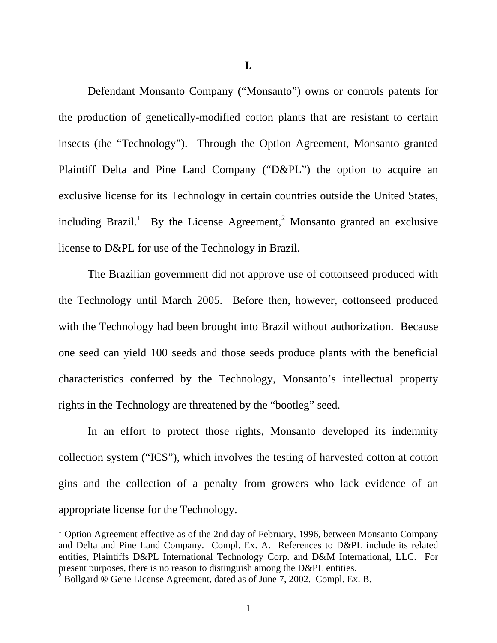**I.** 

 Defendant Monsanto Company ("Monsanto") owns or controls patents for the production of genetically-modified cotton plants that are resistant to certain insects (the "Technology"). Through the Option Agreement, Monsanto granted Plaintiff Delta and Pine Land Company ("D&PL") the option to acquire an exclusive license for its Technology in certain countries outside the United States, including Brazil.<sup>1</sup> By the License Agreement,<sup>2</sup> Monsanto granted an exclusive license to D&PL for use of the Technology in Brazil.

 The Brazilian government did not approve use of cottonseed produced with the Technology until March 2005. Before then, however, cottonseed produced with the Technology had been brought into Brazil without authorization. Because one seed can yield 100 seeds and those seeds produce plants with the beneficial characteristics conferred by the Technology, Monsanto's intellectual property rights in the Technology are threatened by the "bootleg" seed.

 In an effort to protect those rights, Monsanto developed its indemnity collection system ("ICS"), which involves the testing of harvested cotton at cotton gins and the collection of a penalty from growers who lack evidence of an appropriate license for the Technology.

<sup>&</sup>lt;sup>1</sup> Option Agreement effective as of the 2nd day of February, 1996, between Monsanto Company and Delta and Pine Land Company. Compl. Ex. A. References to D&PL include its related entities, Plaintiffs D&PL International Technology Corp. and D&M International, LLC. For present purposes, there is no reason to distinguish among the D&PL entities.

<sup>&</sup>lt;sup>2</sup> Bollgard  $\overline{\textcircled{8}}$  Gene License Agreement, dated as of June 7, 2002. Compl. Ex. B.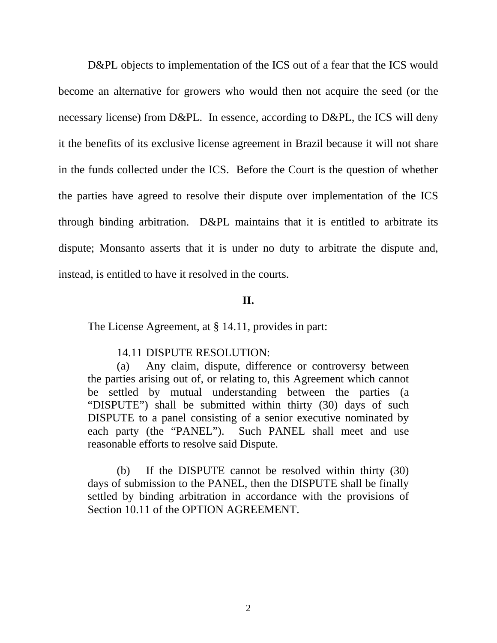D&PL objects to implementation of the ICS out of a fear that the ICS would become an alternative for growers who would then not acquire the seed (or the necessary license) from D&PL. In essence, according to D&PL, the ICS will deny it the benefits of its exclusive license agreement in Brazil because it will not share in the funds collected under the ICS. Before the Court is the question of whether the parties have agreed to resolve their dispute over implementation of the ICS through binding arbitration. D&PL maintains that it is entitled to arbitrate its dispute; Monsanto asserts that it is under no duty to arbitrate the dispute and, instead, is entitled to have it resolved in the courts.

# **II.**

The License Agreement, at § 14.11, provides in part:

#### 14.11 DISPUTE RESOLUTION:

 (a) Any claim, dispute, difference or controversy between the parties arising out of, or relating to, this Agreement which cannot be settled by mutual understanding between the parties (a "DISPUTE") shall be submitted within thirty (30) days of such DISPUTE to a panel consisting of a senior executive nominated by each party (the "PANEL"). Such PANEL shall meet and use reasonable efforts to resolve said Dispute.

 (b) If the DISPUTE cannot be resolved within thirty (30) days of submission to the PANEL, then the DISPUTE shall be finally settled by binding arbitration in accordance with the provisions of Section 10.11 of the OPTION AGREEMENT.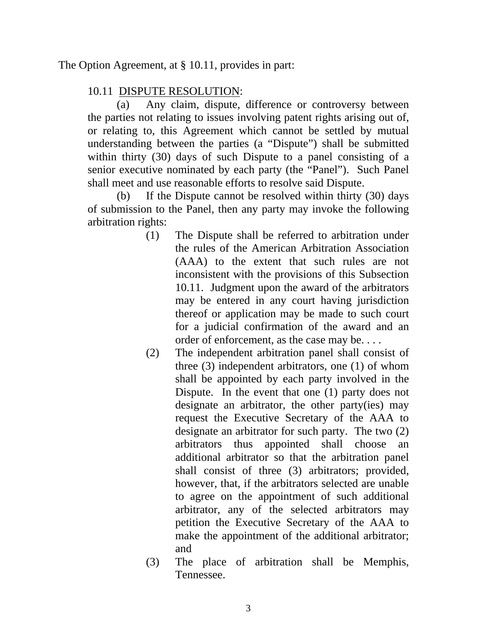The Option Agreement, at § 10.11, provides in part:

# 10.11 DISPUTE RESOLUTION:

 (a) Any claim, dispute, difference or controversy between the parties not relating to issues involving patent rights arising out of, or relating to, this Agreement which cannot be settled by mutual understanding between the parties (a "Dispute") shall be submitted within thirty (30) days of such Dispute to a panel consisting of a senior executive nominated by each party (the "Panel"). Such Panel shall meet and use reasonable efforts to resolve said Dispute.

 (b) If the Dispute cannot be resolved within thirty (30) days of submission to the Panel, then any party may invoke the following arbitration rights:

- (1) The Dispute shall be referred to arbitration under the rules of the American Arbitration Association (AAA) to the extent that such rules are not inconsistent with the provisions of this Subsection 10.11. Judgment upon the award of the arbitrators may be entered in any court having jurisdiction thereof or application may be made to such court for a judicial confirmation of the award and an order of enforcement, as the case may be. . . .
- (2) The independent arbitration panel shall consist of three (3) independent arbitrators, one (1) of whom shall be appointed by each party involved in the Dispute. In the event that one (1) party does not designate an arbitrator, the other party(ies) may request the Executive Secretary of the AAA to designate an arbitrator for such party. The two (2) arbitrators thus appointed shall choose an additional arbitrator so that the arbitration panel shall consist of three (3) arbitrators; provided, however, that, if the arbitrators selected are unable to agree on the appointment of such additional arbitrator, any of the selected arbitrators may petition the Executive Secretary of the AAA to make the appointment of the additional arbitrator; and
- (3) The place of arbitration shall be Memphis, Tennessee.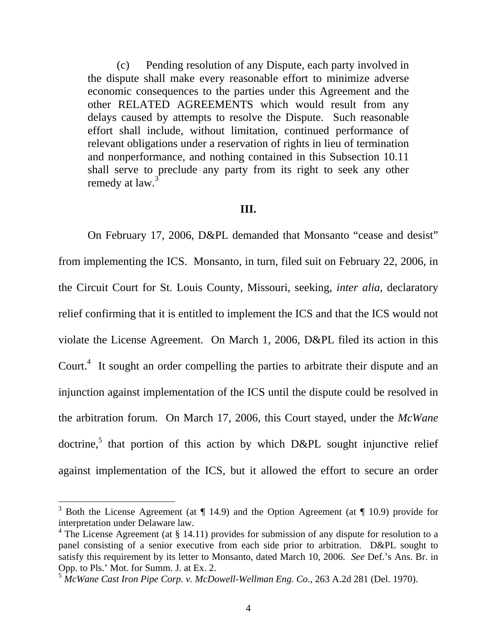(c) Pending resolution of any Dispute, each party involved in the dispute shall make every reasonable effort to minimize adverse economic consequences to the parties under this Agreement and the other RELATED AGREEMENTS which would result from any delays caused by attempts to resolve the Dispute. Such reasonable effort shall include, without limitation, continued performance of relevant obligations under a reservation of rights in lieu of termination and nonperformance, and nothing contained in this Subsection 10.11 shall serve to preclude any party from its right to seek any other remedy at law.<sup>3</sup>

#### **III.**

 On February 17, 2006, D&PL demanded that Monsanto "cease and desist" from implementing the ICS. Monsanto, in turn, filed suit on February 22, 2006, in the Circuit Court for St. Louis County, Missouri, seeking, *inter alia*, declaratory relief confirming that it is entitled to implement the ICS and that the ICS would not violate the License Agreement. On March 1, 2006, D&PL filed its action in this Court.<sup>4</sup> It sought an order compelling the parties to arbitrate their dispute and an injunction against implementation of the ICS until the dispute could be resolved in the arbitration forum. On March 17, 2006, this Court stayed, under the *McWane* doctrine,<sup>5</sup> that portion of this action by which  $D\&PL$  sought injunctive relief against implementation of the ICS, but it allowed the effort to secure an order

<sup>&</sup>lt;sup>3</sup> Both the License Agreement (at ¶ 14.9) and the Option Agreement (at ¶ 10.9) provide for interpretation under Delaware law.

 $4$  The License Agreement (at § 14.11) provides for submission of any dispute for resolution to a panel consisting of a senior executive from each side prior to arbitration. D&PL sought to satisfy this requirement by its letter to Monsanto, dated March 10, 2006. *See* Def.'s Ans. Br. in Opp. to Pls.' Mot. for Summ. J. at Ex. 2.

<sup>5</sup> *McWane Cast Iron Pipe Corp. v. McDowell-Wellman Eng. Co.*, 263 A.2d 281 (Del. 1970).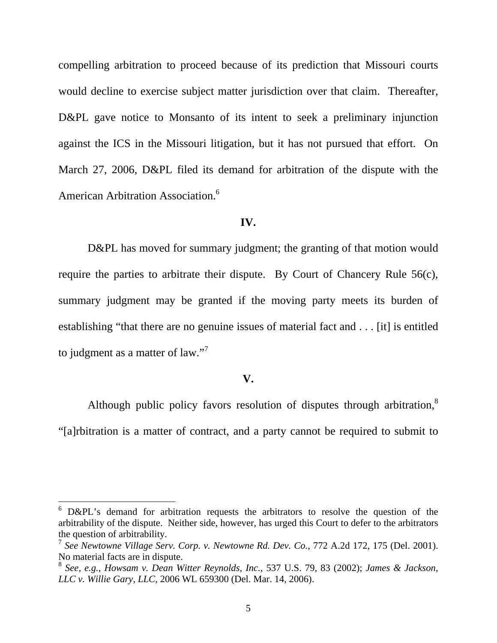compelling arbitration to proceed because of its prediction that Missouri courts would decline to exercise subject matter jurisdiction over that claim. Thereafter, D&PL gave notice to Monsanto of its intent to seek a preliminary injunction against the ICS in the Missouri litigation, but it has not pursued that effort. On March 27, 2006, D&PL filed its demand for arbitration of the dispute with the American Arbitration Association.6

#### **IV.**

D&PL has moved for summary judgment; the granting of that motion would require the parties to arbitrate their dispute. By Court of Chancery Rule 56(c), summary judgment may be granted if the moving party meets its burden of establishing "that there are no genuine issues of material fact and . . . [it] is entitled to judgment as a matter of law."<sup>7</sup>

### **V.**

Although public policy favors resolution of disputes through arbitration,<sup>8</sup> "[a]rbitration is a matter of contract, and a party cannot be required to submit to

 $6$  D&PL's demand for arbitration requests the arbitrators to resolve the question of the arbitrability of the dispute. Neither side, however, has urged this Court to defer to the arbitrators the question of arbitrability.

<sup>7</sup> *See Newtowne Village Serv. Corp. v. Newtowne Rd. Dev. Co.*, 772 A.2d 172, 175 (Del. 2001). No material facts are in dispute.

<sup>8</sup> *See, e.g.*, *Howsam v. Dean Witter Reynolds, Inc.*, 537 U.S. 79, 83 (2002); *James & Jackson, LLC v. Willie Gary, LLC*, 2006 WL 659300 (Del. Mar. 14, 2006).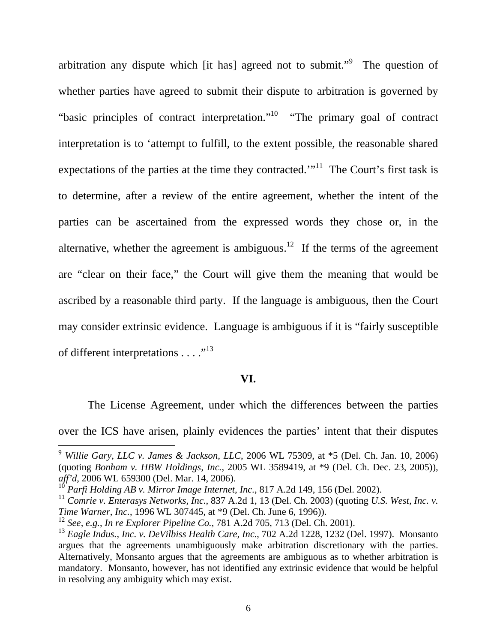arbitration any dispute which [it has] agreed not to submit."<sup>9</sup> The question of whether parties have agreed to submit their dispute to arbitration is governed by "basic principles of contract interpretation."<sup>10</sup> "The primary goal of contract interpretation is to 'attempt to fulfill, to the extent possible, the reasonable shared expectations of the parties at the time they contracted."<sup>11</sup> The Court's first task is to determine, after a review of the entire agreement, whether the intent of the parties can be ascertained from the expressed words they chose or, in the alternative, whether the agreement is ambiguous.<sup>12</sup> If the terms of the agreement are "clear on their face," the Court will give them the meaning that would be ascribed by a reasonable third party. If the language is ambiguous, then the Court may consider extrinsic evidence. Language is ambiguous if it is "fairly susceptible of different interpretations  $\dots$ ."<sup>13</sup>

# **VI.**

 The License Agreement, under which the differences between the parties over the ICS have arisen, plainly evidences the parties' intent that their disputes

<sup>9</sup> *Willie Gary, LLC v. James & Jackson, LLC*, 2006 WL 75309, at \*5 (Del. Ch. Jan. 10, 2006) (quoting *Bonham v. HBW Holdings, Inc.*, 2005 WL 3589419, at \*9 (Del. Ch. Dec. 23, 2005)), *aff'd*, 2006 WL 659300 (Del. Mar. 14, 2006).

<sup>10</sup> *Parfi Holding AB v. Mirror Image Internet, Inc.*, 817 A.2d 149, 156 (Del. 2002).

<sup>11</sup> *Comrie v. Enterasys Networks, Inc.*, 837 A.2d 1, 13 (Del. Ch. 2003) (quoting *U.S. West, Inc. v. Time Warner, Inc.*, 1996 WL 307445, at \*9 (Del. Ch. June 6, 1996)).

<sup>12</sup> *See, e.g.*, *In re Explorer Pipeline Co.*, 781 A.2d 705, 713 (Del. Ch. 2001).

<sup>13</sup> *Eagle Indus., Inc. v. DeVilbiss Health Care, Inc.*, 702 A.2d 1228, 1232 (Del. 1997). Monsanto argues that the agreements unambiguously make arbitration discretionary with the parties. Alternatively, Monsanto argues that the agreements are ambiguous as to whether arbitration is mandatory. Monsanto, however, has not identified any extrinsic evidence that would be helpful in resolving any ambiguity which may exist.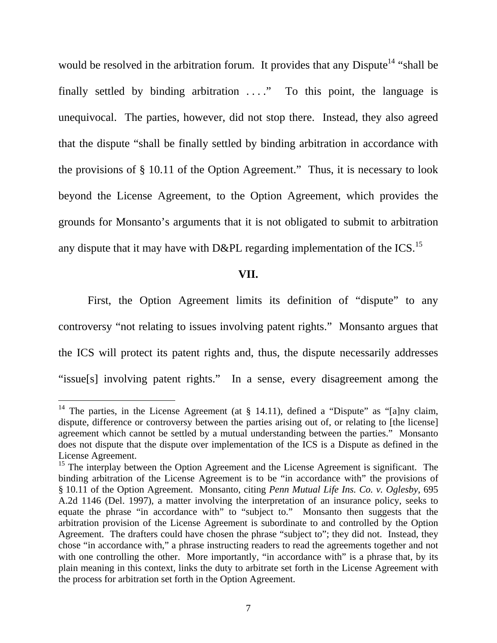would be resolved in the arbitration forum. It provides that any Dispute<sup>14</sup> "shall be finally settled by binding arbitration  $\dots$ ." To this point, the language is unequivocal. The parties, however, did not stop there. Instead, they also agreed that the dispute "shall be finally settled by binding arbitration in accordance with the provisions of § 10.11 of the Option Agreement." Thus, it is necessary to look beyond the License Agreement, to the Option Agreement, which provides the grounds for Monsanto's arguments that it is not obligated to submit to arbitration any dispute that it may have with D&PL regarding implementation of the ICS.<sup>15</sup>

### **VII.**

 First, the Option Agreement limits its definition of "dispute" to any controversy "not relating to issues involving patent rights." Monsanto argues that the ICS will protect its patent rights and, thus, the dispute necessarily addresses "issue[s] involving patent rights." In a sense, every disagreement among the

<sup>&</sup>lt;sup>14</sup> The parties, in the License Agreement (at  $\S$  14.11), defined a "Dispute" as "[a]ny claim, dispute, difference or controversy between the parties arising out of, or relating to [the license] agreement which cannot be settled by a mutual understanding between the parties." Monsanto does not dispute that the dispute over implementation of the ICS is a Dispute as defined in the License Agreement.

 $15$  The interplay between the Option Agreement and the License Agreement is significant. The binding arbitration of the License Agreement is to be "in accordance with" the provisions of § 10.11 of the Option Agreement. Monsanto, citing *Penn Mutual Life Ins. Co. v. Oglesby*, 695 A.2d 1146 (Del. 1997), a matter involving the interpretation of an insurance policy, seeks to equate the phrase "in accordance with" to "subject to." Monsanto then suggests that the arbitration provision of the License Agreement is subordinate to and controlled by the Option Agreement. The drafters could have chosen the phrase "subject to"; they did not. Instead, they chose "in accordance with," a phrase instructing readers to read the agreements together and not with one controlling the other. More importantly, "in accordance with" is a phrase that, by its plain meaning in this context, links the duty to arbitrate set forth in the License Agreement with the process for arbitration set forth in the Option Agreement.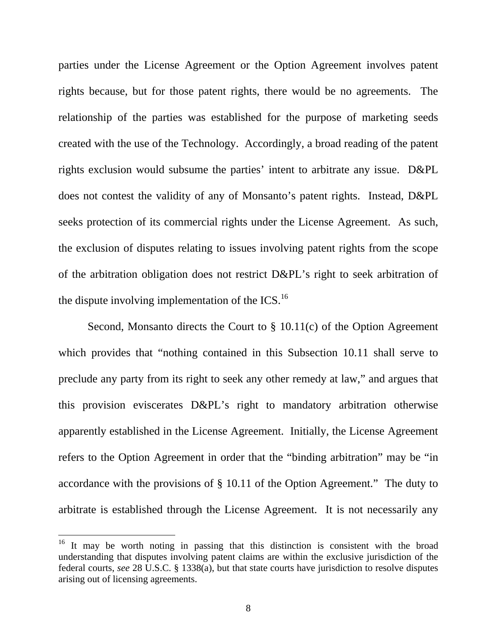parties under the License Agreement or the Option Agreement involves patent rights because, but for those patent rights, there would be no agreements. The relationship of the parties was established for the purpose of marketing seeds created with the use of the Technology. Accordingly, a broad reading of the patent rights exclusion would subsume the parties' intent to arbitrate any issue. D&PL does not contest the validity of any of Monsanto's patent rights. Instead, D&PL seeks protection of its commercial rights under the License Agreement. As such, the exclusion of disputes relating to issues involving patent rights from the scope of the arbitration obligation does not restrict D&PL's right to seek arbitration of the dispute involving implementation of the  $ICS<sup>16</sup>$ .

 Second, Monsanto directs the Court to § 10.11(c) of the Option Agreement which provides that "nothing contained in this Subsection 10.11 shall serve to preclude any party from its right to seek any other remedy at law," and argues that this provision eviscerates D&PL's right to mandatory arbitration otherwise apparently established in the License Agreement. Initially, the License Agreement refers to the Option Agreement in order that the "binding arbitration" may be "in accordance with the provisions of § 10.11 of the Option Agreement." The duty to arbitrate is established through the License Agreement. It is not necessarily any

<sup>&</sup>lt;sup>16</sup> It may be worth noting in passing that this distinction is consistent with the broad understanding that disputes involving patent claims are within the exclusive jurisdiction of the federal courts, *see* 28 U.S.C. § 1338(a), but that state courts have jurisdiction to resolve disputes arising out of licensing agreements.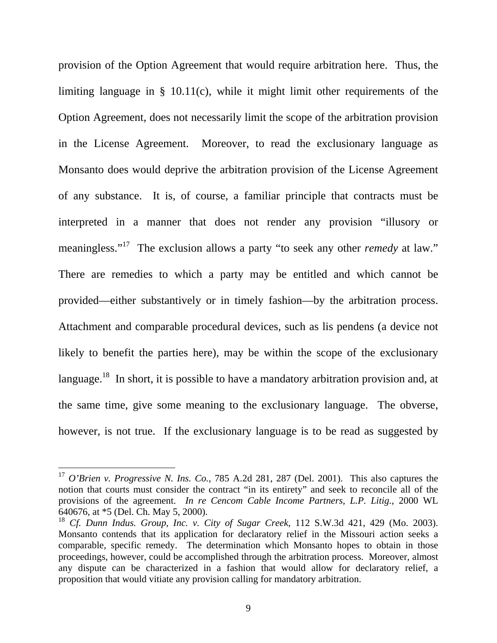provision of the Option Agreement that would require arbitration here. Thus, the limiting language in § 10.11(c), while it might limit other requirements of the Option Agreement, does not necessarily limit the scope of the arbitration provision in the License Agreement. Moreover, to read the exclusionary language as Monsanto does would deprive the arbitration provision of the License Agreement of any substance. It is, of course, a familiar principle that contracts must be interpreted in a manner that does not render any provision "illusory or meaningless."<sup>17</sup> The exclusion allows a party "to seek any other *remedy* at law." There are remedies to which a party may be entitled and which cannot be provided—either substantively or in timely fashion—by the arbitration process. Attachment and comparable procedural devices, such as lis pendens (a device not likely to benefit the parties here), may be within the scope of the exclusionary language.<sup>18</sup> In short, it is possible to have a mandatory arbitration provision and, at the same time, give some meaning to the exclusionary language. The obverse, however, is not true. If the exclusionary language is to be read as suggested by

<sup>17</sup> *O'Brien v. Progressive N. Ins. Co.*, 785 A.2d 281, 287 (Del. 2001). This also captures the notion that courts must consider the contract "in its entirety" and seek to reconcile all of the provisions of the agreement. *In re Cencom Cable Income Partners, L.P. Litig.*, 2000 WL 640676, at \*5 (Del. Ch. May 5, 2000).

<sup>18</sup> *Cf. Dunn Indus. Group, Inc. v. City of Sugar Creek*, 112 S.W.3d 421, 429 (Mo. 2003). Monsanto contends that its application for declaratory relief in the Missouri action seeks a comparable, specific remedy. The determination which Monsanto hopes to obtain in those proceedings, however, could be accomplished through the arbitration process. Moreover, almost any dispute can be characterized in a fashion that would allow for declaratory relief, a proposition that would vitiate any provision calling for mandatory arbitration.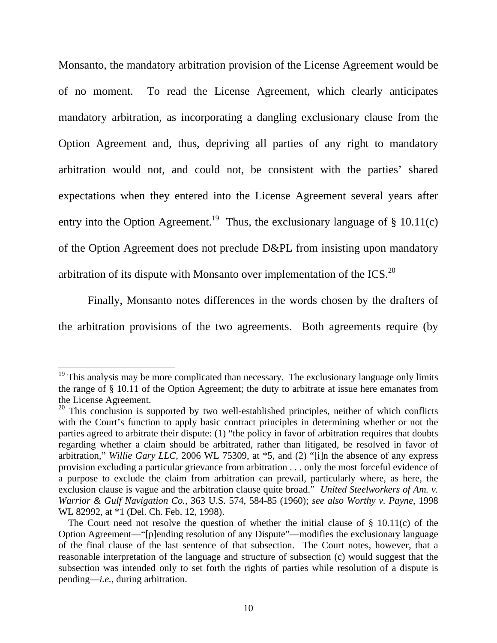Monsanto, the mandatory arbitration provision of the License Agreement would be of no moment. To read the License Agreement, which clearly anticipates mandatory arbitration, as incorporating a dangling exclusionary clause from the Option Agreement and, thus, depriving all parties of any right to mandatory arbitration would not, and could not, be consistent with the parties' shared expectations when they entered into the License Agreement several years after entry into the Option Agreement.<sup>19</sup> Thus, the exclusionary language of  $\S$  10.11(c) of the Option Agreement does not preclude D&PL from insisting upon mandatory arbitration of its dispute with Monsanto over implementation of the ICS.<sup>20</sup>

 Finally, Monsanto notes differences in the words chosen by the drafters of the arbitration provisions of the two agreements. Both agreements require (by

 $19$  This analysis may be more complicated than necessary. The exclusionary language only limits the range of § 10.11 of the Option Agreement; the duty to arbitrate at issue here emanates from the License Agreement.

 $20$  This conclusion is supported by two well-established principles, neither of which conflicts with the Court's function to apply basic contract principles in determining whether or not the parties agreed to arbitrate their dispute: (1) "the policy in favor of arbitration requires that doubts regarding whether a claim should be arbitrated, rather than litigated, be resolved in favor of arbitration," *Willie Gary LLC*, 2006 WL 75309, at \*5, and (2) "[i]n the absence of any express provision excluding a particular grievance from arbitration . . . only the most forceful evidence of a purpose to exclude the claim from arbitration can prevail, particularly where, as here, the exclusion clause is vague and the arbitration clause quite broad." *United Steelworkers of Am. v. Warrior & Gulf Navigation Co.*, 363 U.S. 574, 584-85 (1960); *see also Worthy v. Payne*, 1998 WL 82992, at \*1 (Del. Ch. Feb. 12, 1998).

The Court need not resolve the question of whether the initial clause of  $\S$  10.11(c) of the Option Agreement—"[p]ending resolution of any Dispute"—modifies the exclusionary language of the final clause of the last sentence of that subsection. The Court notes, however, that a reasonable interpretation of the language and structure of subsection (c) would suggest that the subsection was intended only to set forth the rights of parties while resolution of a dispute is pending—*i.e.*, during arbitration.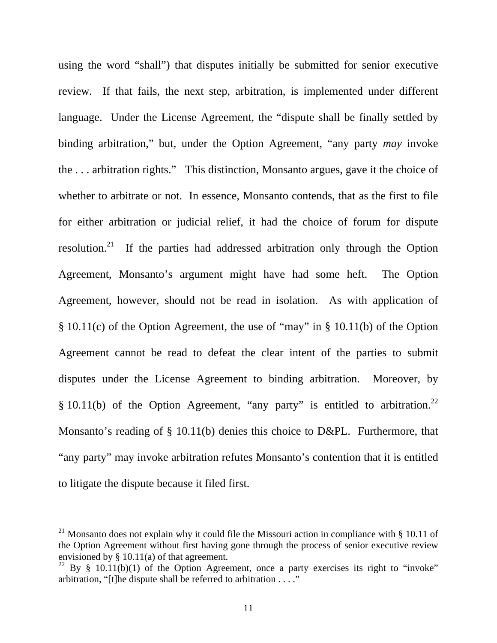using the word "shall") that disputes initially be submitted for senior executive review. If that fails, the next step, arbitration, is implemented under different language. Under the License Agreement, the "dispute shall be finally settled by binding arbitration," but, under the Option Agreement, "any party *may* invoke the . . . arbitration rights." This distinction, Monsanto argues, gave it the choice of whether to arbitrate or not. In essence, Monsanto contends, that as the first to file for either arbitration or judicial relief, it had the choice of forum for dispute resolution.21 If the parties had addressed arbitration only through the Option Agreement, Monsanto's argument might have had some heft. The Option Agreement, however, should not be read in isolation. As with application of § 10.11(c) of the Option Agreement, the use of "may" in § 10.11(b) of the Option Agreement cannot be read to defeat the clear intent of the parties to submit disputes under the License Agreement to binding arbitration. Moreover, by § 10.11(b) of the Option Agreement, "any party" is entitled to arbitration.<sup>22</sup> Monsanto's reading of § 10.11(b) denies this choice to D&PL. Furthermore, that "any party" may invoke arbitration refutes Monsanto's contention that it is entitled to litigate the dispute because it filed first.

<sup>&</sup>lt;sup>21</sup> Monsanto does not explain why it could file the Missouri action in compliance with  $\S$  10.11 of the Option Agreement without first having gone through the process of senior executive review envisioned by § 10.11(a) of that agreement.

<sup>&</sup>lt;sup>22</sup> By § 10.11(b)(1) of the Option Agreement, once a party exercises its right to "invoke" arbitration, "[t]he dispute shall be referred to arbitration . . . ."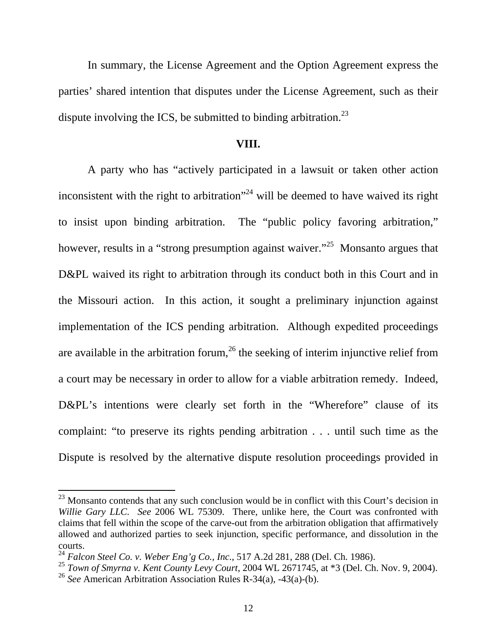In summary, the License Agreement and the Option Agreement express the parties' shared intention that disputes under the License Agreement, such as their dispute involving the ICS, be submitted to binding arbitration.<sup>23</sup>

## **VIII.**

 A party who has "actively participated in a lawsuit or taken other action inconsistent with the right to arbitration<sup> $24$ </sup> will be deemed to have waived its right to insist upon binding arbitration. The "public policy favoring arbitration," however, results in a "strong presumption against waiver."<sup>25</sup> Monsanto argues that D&PL waived its right to arbitration through its conduct both in this Court and in the Missouri action. In this action, it sought a preliminary injunction against implementation of the ICS pending arbitration. Although expedited proceedings are available in the arbitration forum,<sup>26</sup> the seeking of interim injunctive relief from a court may be necessary in order to allow for a viable arbitration remedy. Indeed, D&PL's intentions were clearly set forth in the "Wherefore" clause of its complaint: "to preserve its rights pending arbitration . . . until such time as the Dispute is resolved by the alternative dispute resolution proceedings provided in

 $^{23}$  Monsanto contends that any such conclusion would be in conflict with this Court's decision in *Willie Gary LLC*. *See* 2006 WL 75309. There, unlike here, the Court was confronted with claims that fell within the scope of the carve-out from the arbitration obligation that affirmatively allowed and authorized parties to seek injunction, specific performance, and dissolution in the courts.

<sup>24</sup> *Falcon Steel Co. v. Weber Eng'g Co., Inc.*, 517 A.2d 281, 288 (Del. Ch. 1986).

<sup>25</sup> *Town of Smyrna v. Kent County Levy Court*, 2004 WL 2671745, at \*3 (Del. Ch. Nov. 9, 2004).

<sup>26</sup> *See* American Arbitration Association Rules R-34(a), -43(a)-(b).